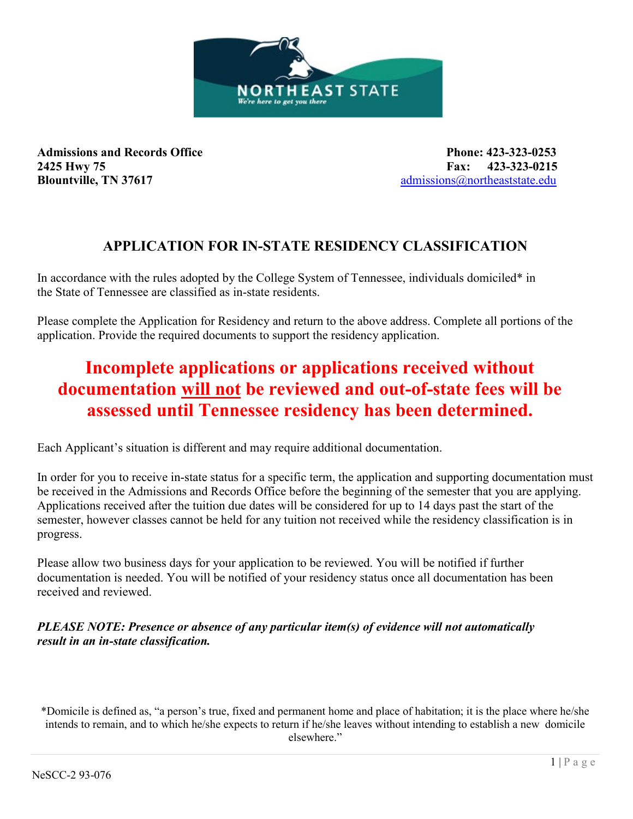

**Admissions and Records Office Phone: 423-323-0253 2425 Hwy 75 Fax: 423-323-0215 Blountville, TN 37617 admissions@northeaststate.edu** 

# **APPLICATION FOR IN-STATE RESIDENCY CLASSIFICATION**

In accordance with the rules adopted by the College System of Tennessee, individuals domiciled\* in the State of Tennessee are classified as in-state residents.

Please complete the Application for Residency and return to the above address. Complete all portions of the application. Provide the required documents to support the residency application.

# **Incomplete applications or applications received without documentation will not be reviewed and out-of-state fees will be assessed until Tennessee residency has been determined.**

Each Applicant's situation is different and may require additional documentation.

In order for you to receive in-state status for a specific term, the application and supporting documentation must be received in the Admissions and Records Office before the beginning of the semester that you are applying. Applications received after the tuition due dates will be considered for up to 14 days past the start of the semester, however classes cannot be held for any tuition not received while the residency classification is in progress.

Please allow two business days for your application to be reviewed. You will be notified if further documentation is needed. You will be notified of your residency status once all documentation has been received and reviewed.

# *PLEASE NOTE: Presence or absence of any particular item(s) of evidence will not automatically result in an in-state classification.*

\*Domicile is defined as, "a person's true, fixed and permanent home and place of habitation; it is the place where he/she intends to remain, and to which he/she expects to return if he/she leaves without intending to establish a new domicile elsewhere."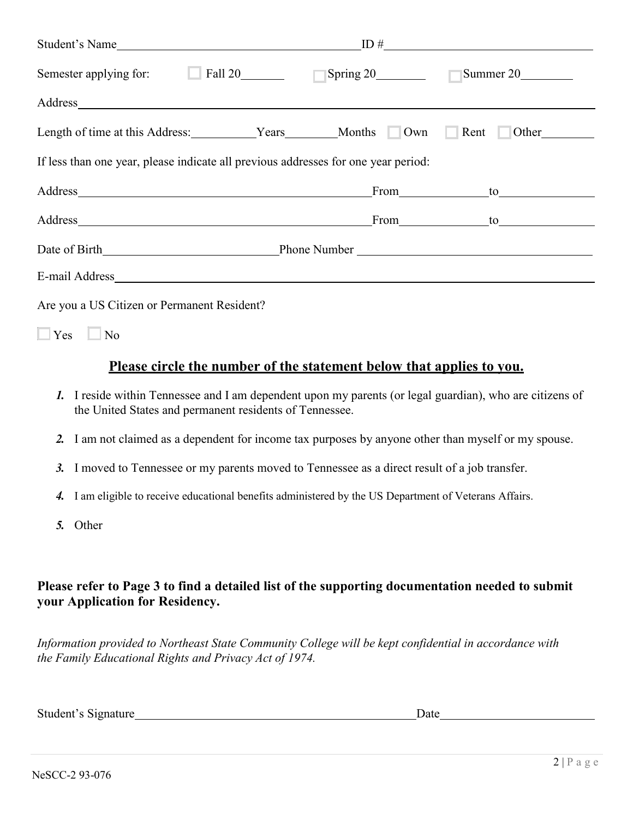| Student's Name                                                                                                                                                                                                                 |  | ID#        |
|--------------------------------------------------------------------------------------------------------------------------------------------------------------------------------------------------------------------------------|--|------------|
| Semester applying for: Fall 20 Fall 20 Spring 20 Summer 20                                                                                                                                                                     |  |            |
| Address and the contract of the contract of the contract of the contract of the contract of the contract of the contract of the contract of the contract of the contract of the contract of the contract of the contract of th |  |            |
| Length of time at this Address: __________Years_______Months   Own Rent Other_______________________                                                                                                                           |  |            |
| If less than one year, please indicate all previous addresses for one year period:                                                                                                                                             |  |            |
| Address and the contract of the contract of the contract of the contract of the contract of the contract of the contract of the contract of the contract of the contract of the contract of the contract of the contract of th |  | From to to |
| Address From to the contract of the contract of the contract of the contract of the contract of the contract of the contract of the contract of the contract of the contract of the contract of the contract of the contract o |  |            |
|                                                                                                                                                                                                                                |  |            |
|                                                                                                                                                                                                                                |  |            |
| Are you a US Citizen or Permanent Resident?                                                                                                                                                                                    |  |            |
| $\Box$ Yes $\Box$ No                                                                                                                                                                                                           |  |            |

# **Please circle the number of the statement below that applies to you.**

- *1.* I reside within Tennessee and I am dependent upon my parents (or legal guardian), who are citizens of the United States and permanent residents of Tennessee.
- *2.* I am not claimed as a dependent for income tax purposes by anyone other than myself or my spouse.
- *3.* I moved to Tennessee or my parents moved to Tennessee as a direct result of a job transfer.
- *4.* I am eligible to receive educational benefits administered by the US Department of Veterans Affairs.
- *5.* Other

# **Please refer to Page 3 to find a detailed list of the supporting documentation needed to submit your Application for Residency.**

*Information provided to Northeast State Community College will be kept confidential in accordance with the Family Educational Rights and Privacy Act of 1974.* 

Student's Signature Date Date Date Date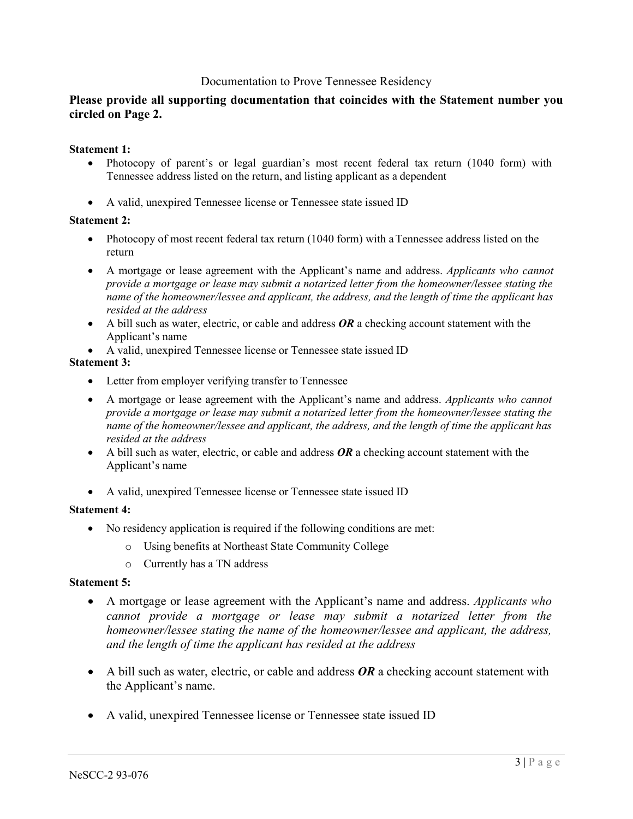## Documentation to Prove Tennessee Residency

## **Please provide all supporting documentation that coincides with the Statement number you circled on Page 2.**

## **Statement 1:**

- Photocopy of parent's or legal guardian's most recent federal tax return (1040 form) with Tennessee address listed on the return, and listing applicant as a dependent
- A valid, unexpired Tennessee license or Tennessee state issued ID

## **Statement 2:**

- Photocopy of most recent federal tax return (1040 form) with a Tennessee address listed on the return
- A mortgage or lease agreement with the Applicant's name and address. *Applicants who cannot provide a mortgage or lease may submit a notarized letter from the homeowner/lessee stating the name of the homeowner/lessee and applicant, the address, and the length of time the applicant has resided at the address*
- A bill such as water, electric, or cable and address **OR** a checking account statement with the Applicant's name
- A valid, unexpired Tennessee license or Tennessee state issued ID

## **Statement 3:**

- Letter from employer verifying transfer to Tennessee
- A mortgage or lease agreement with the Applicant's name and address. *Applicants who cannot provide a mortgage or lease may submit a notarized letter from the homeowner/lessee stating the name of the homeowner/lessee and applicant, the address, and the length of time the applicant has resided at the address*
- A bill such as water, electric, or cable and address **OR** a checking account statement with the Applicant's name
- A valid, unexpired Tennessee license or Tennessee state issued ID

## **Statement 4:**

- No residency application is required if the following conditions are met:
	- o Using benefits at Northeast State Community College
	- o Currently has a TN address

## **Statement 5:**

- A mortgage or lease agreement with the Applicant's name and address. *Applicants who cannot provide a mortgage or lease may submit a notarized letter from the homeowner/lessee stating the name of the homeowner/lessee and applicant, the address, and the length of time the applicant has resided at the address*
- A bill such as water, electric, or cable and address **OR** a checking account statement with the Applicant's name.
- A valid, unexpired Tennessee license or Tennessee state issued ID